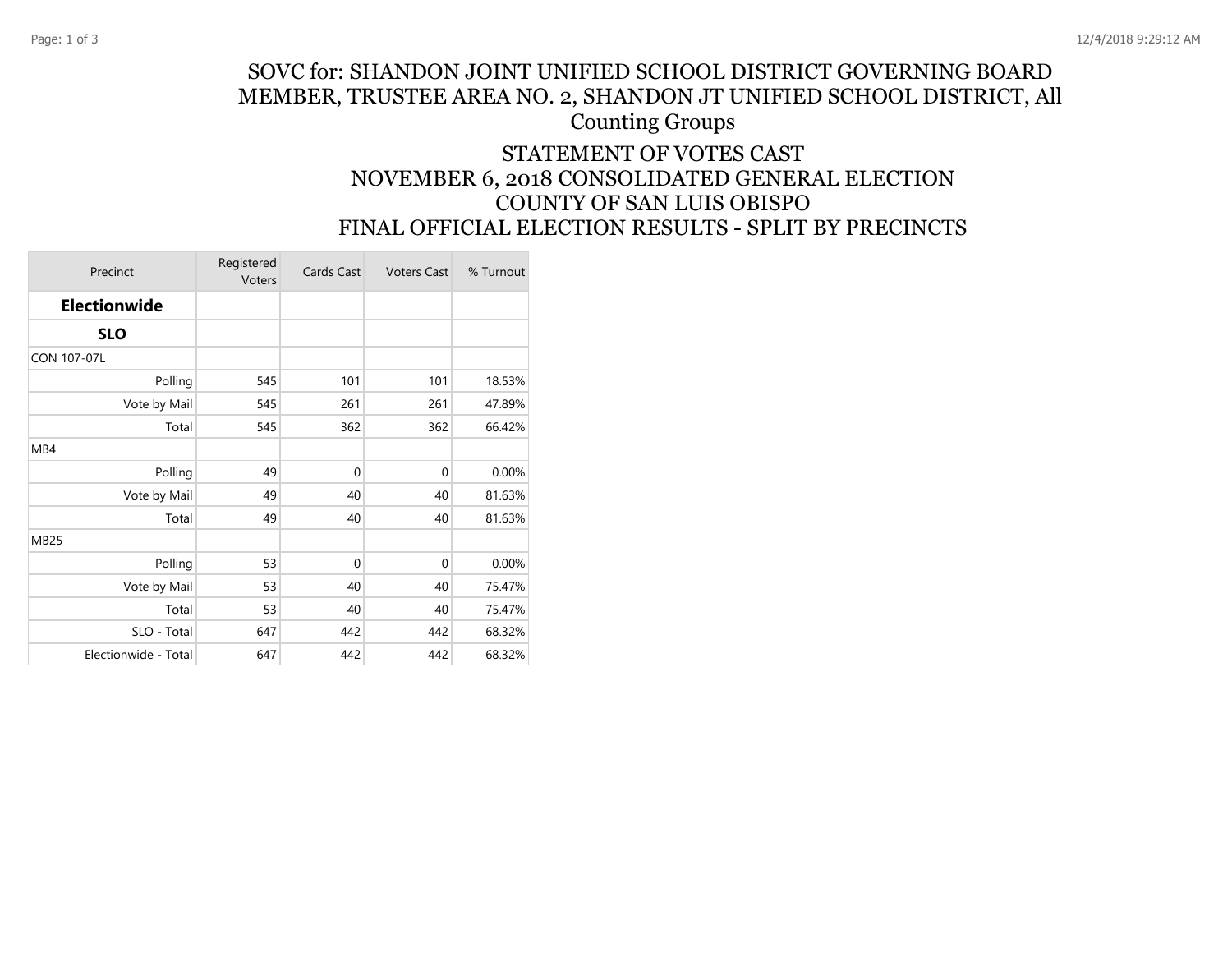## SOVC for: SHANDON JOINT UNIFIED SCHOOL DISTRICT GOVERNING BOARD MEMBER, TRUSTEE AREA NO. 2, SHANDON JT UNIFIED SCHOOL DISTRICT, All Counting Groups STATEMENT OF VOTES CAST

## NOVEMBER 6, 2018 CONSOLIDATED GENERAL ELECTION COUNTY OF SAN LUIS OBISPO FINAL OFFICIAL ELECTION RESULTS - SPLIT BY PRECINCTS

| Precinct             | Registered<br>Voters | Cards Cast  | <b>Voters Cast</b> | % Turnout |
|----------------------|----------------------|-------------|--------------------|-----------|
| <b>Electionwide</b>  |                      |             |                    |           |
| <b>SLO</b>           |                      |             |                    |           |
| CON 107-07L          |                      |             |                    |           |
| Polling              | 545                  | 101         | 101                | 18.53%    |
| Vote by Mail         | 545                  | 261         | 261                | 47.89%    |
| Total                | 545                  | 362         | 362                | 66.42%    |
| MB4                  |                      |             |                    |           |
| Polling              | 49                   | $\mathbf 0$ | $\mathbf 0$        | 0.00%     |
| Vote by Mail         | 49                   | 40          | 40                 | 81.63%    |
| Total                | 49                   | 40          | 40                 | 81.63%    |
| <b>MB25</b>          |                      |             |                    |           |
| Polling              | 53                   | $\mathbf 0$ | $\mathbf{0}$       | 0.00%     |
| Vote by Mail         | 53                   | 40          | 40                 | 75.47%    |
| Total                | 53                   | 40          | 40                 | 75.47%    |
| SLO - Total          | 647                  | 442         | 442                | 68.32%    |
| Electionwide - Total | 647                  | 442         | 442                | 68.32%    |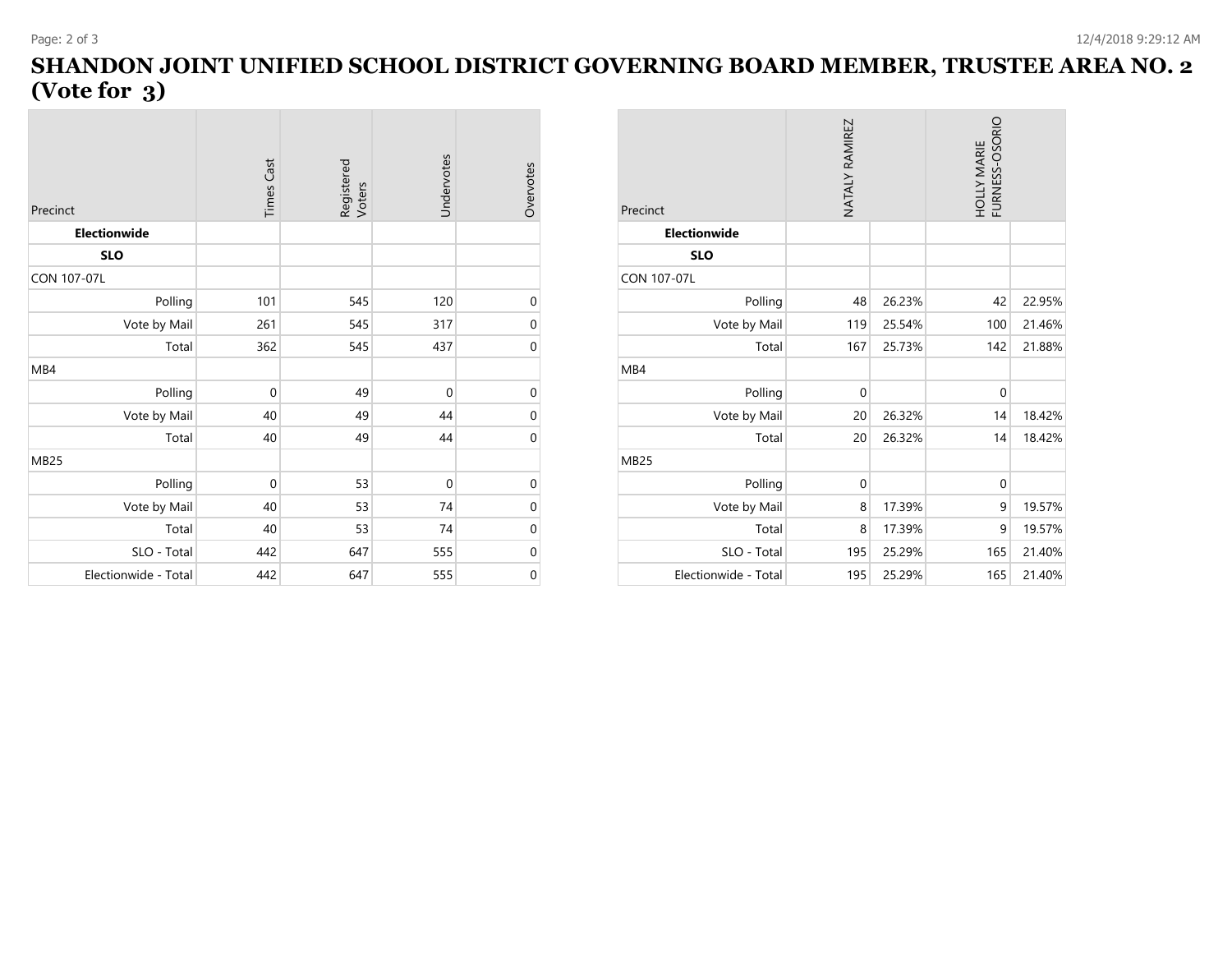## **SHANDON JOINT UNIFIED SCHOOL DISTRICT GOVERNING BOARD MEMBER, TRUSTEE AREA NO. 2 (Vote for 3)**

 $\sim$ 

| Precinct             | <b>Times Cast</b> | Registered<br>Voters | Undervotes   | Overvotes        |
|----------------------|-------------------|----------------------|--------------|------------------|
| Electionwide         |                   |                      |              |                  |
| <b>SLO</b>           |                   |                      |              |                  |
| CON 107-07L          |                   |                      |              |                  |
| Polling              | 101               | 545                  | 120          | $\boldsymbol{0}$ |
| Vote by Mail         | 261               | 545                  | 317          | $\boldsymbol{0}$ |
| Total                | 362               | 545                  | 437          | $\mathbf 0$      |
| MB4                  |                   |                      |              |                  |
| Polling              | $\overline{0}$    | 49                   | $\mathbf 0$  | $\mathbf 0$      |
| Vote by Mail         | 40                | 49                   | 44           | $\mathbf 0$      |
| Total                | 40                | 49                   | 44           | $\overline{0}$   |
| <b>MB25</b>          |                   |                      |              |                  |
| Polling              | $\overline{0}$    | 53                   | $\mathbf{0}$ | $\boldsymbol{0}$ |
| Vote by Mail         | 40                | 53                   | 74           | $\boldsymbol{0}$ |
| Total                | 40                | 53                   | 74           | $\boldsymbol{0}$ |
| SLO - Total          | 442               | 647                  | 555          | $\boldsymbol{0}$ |
| Electionwide - Total | 442               | 647                  | 555          | $\mathbf 0$      |

| Precinct             | NATALY RAMIREZ |        | HOLLY MARIE<br>FURNESS-OSORIO |        |
|----------------------|----------------|--------|-------------------------------|--------|
| <b>Electionwide</b>  |                |        |                               |        |
| <b>SLO</b>           |                |        |                               |        |
| <b>CON 107-07L</b>   |                |        |                               |        |
| Polling              | 48             | 26.23% | 42                            | 22.95% |
| Vote by Mail         | 119            | 25.54% | 100                           | 21.46% |
| Total                | 167            | 25.73% | 142                           | 21.88% |
| MB4                  |                |        |                               |        |
| Polling              | $\mathbf 0$    |        | $\mathbf{0}$                  |        |
| Vote by Mail         | 20             | 26.32% | 14                            | 18.42% |
| Total                | 20             | 26.32% | 14                            | 18.42% |
| <b>MB25</b>          |                |        |                               |        |
| Polling              | $\mathbf{0}$   |        | $\mathbf{0}$                  |        |
| Vote by Mail         | 8              | 17.39% | 9                             | 19.57% |
| Total                | 8              | 17.39% | 9                             | 19.57% |
| SLO - Total          | 195            | 25.29% | 165                           | 21.40% |
| Electionwide - Total | 195            | 25.29% | 165                           | 21.40% |